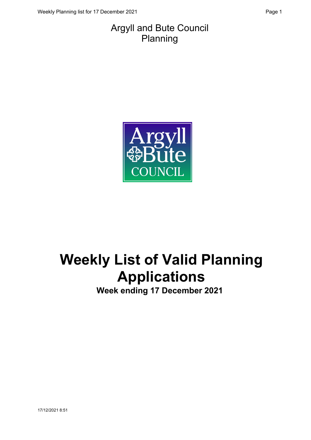#### Argyll and Bute Council Planning



# **Weekly List of Valid Planning Applications**

**Week ending 17 December 2021**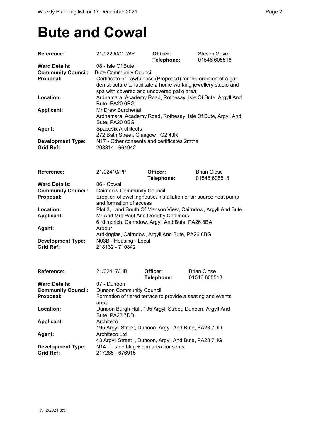### **Bute and Cowal**

| Reference:                | 21/02290/CLWP                                                   | Officer:<br>Telephone:                               | <b>Steven Gove</b><br>01546 605518                              |
|---------------------------|-----------------------------------------------------------------|------------------------------------------------------|-----------------------------------------------------------------|
| <b>Ward Details:</b>      | 08 - Isle Of Bute                                               |                                                      |                                                                 |
| <b>Community Council:</b> | <b>Bute Community Council</b>                                   |                                                      |                                                                 |
| Proposal:                 | Certificate of Lawfulness (Proposed) for the erection of a gar- |                                                      |                                                                 |
|                           |                                                                 |                                                      | den structure to facilitate a home working jewellery studio and |
|                           |                                                                 | spa with covered and uncovered patio area            |                                                                 |
| Location:                 |                                                                 |                                                      | Ardnamara, Academy Road, Rothesay, Isle Of Bute, Argyll And     |
|                           |                                                                 |                                                      |                                                                 |
|                           | Bute, PA20 0BG                                                  |                                                      |                                                                 |
| <b>Applicant:</b>         | Mr Drew Burchenal                                               |                                                      |                                                                 |
|                           |                                                                 |                                                      | Ardnamara, Academy Road, Rothesay, Isle Of Bute, Argyll And     |
|                           | Bute, PA20 0BG                                                  |                                                      |                                                                 |
| Agent:                    | <b>Spacesix Architects</b>                                      |                                                      |                                                                 |
|                           | 272 Bath Street, Glasgow, G2 4JR                                |                                                      |                                                                 |
| <b>Development Type:</b>  |                                                                 | N17 - Other consents and certificates 2mths          |                                                                 |
| <b>Grid Ref:</b>          | 208314 - 664942                                                 |                                                      |                                                                 |
|                           |                                                                 |                                                      |                                                                 |
| <b>Reference:</b>         | 21/02410/PP                                                     | Officer:                                             | <b>Brian Close</b>                                              |
|                           |                                                                 | Telephone:                                           | 01546 605518                                                    |
| <b>Ward Details:</b>      | 06 - Cowal                                                      |                                                      |                                                                 |
| <b>Community Council:</b> | <b>Cairndow Community Council</b>                               |                                                      |                                                                 |
|                           |                                                                 |                                                      |                                                                 |
| Proposal:                 |                                                                 |                                                      | Erection of dwellinghouse, installation of air source heat pump |
|                           | and formation of access                                         |                                                      |                                                                 |
| Location:                 |                                                                 |                                                      | Plot 3, Land South Of Manson View, Cairndow, Argyll And Bute    |
| <b>Applicant:</b>         |                                                                 | Mr And Mrs Paul And Dorothy Chalmers                 |                                                                 |
|                           |                                                                 | 6 Kilmorich, Cairndow, Argyll And Bute, PA26 8BA     |                                                                 |
| Agent:                    | Arbour                                                          |                                                      |                                                                 |
|                           | Ardkinglas, Cairndow, Argyll And Bute, PA26 8BG                 |                                                      |                                                                 |
| <b>Development Type:</b>  | N03B - Housing - Local                                          |                                                      |                                                                 |
| <b>Grid Ref:</b>          | 218132 - 710842                                                 |                                                      |                                                                 |
|                           |                                                                 |                                                      |                                                                 |
| <b>Reference:</b>         | 21/02417/LIB                                                    | Officer:                                             | <b>Brian Close</b>                                              |
|                           |                                                                 | Telephone:                                           | 01546 605518                                                    |
|                           |                                                                 |                                                      |                                                                 |
| <b>Ward Details:</b>      | 07 - Dunoon                                                     |                                                      |                                                                 |
| <b>Community Council:</b> | <b>Dunoon Community Council</b>                                 |                                                      |                                                                 |
| Proposal:                 |                                                                 |                                                      | Formation of tiered terrace to provide a seating and events     |
|                           | area                                                            |                                                      |                                                                 |
| Location:                 |                                                                 |                                                      | Dunoon Burgh Hall, 195 Argyll Street, Dunoon, Argyll And        |
|                           | Bute, PA23 7DD                                                  |                                                      |                                                                 |
| <b>Applicant:</b>         | Architeco                                                       |                                                      |                                                                 |
|                           |                                                                 | 195 Argyll Street, Dunoon, Argyll And Bute, PA23 7DD |                                                                 |
| Agent:                    | Architeco Ltd                                                   |                                                      |                                                                 |
|                           |                                                                 | 43 Argyll Street, Dunoon, Argyll And Bute, PA23 7HG  |                                                                 |
|                           |                                                                 |                                                      |                                                                 |
| <b>Development Type:</b>  |                                                                 | N14 - Listed bldg + con area consents                |                                                                 |

**Grid Ref:** 217285 - 676915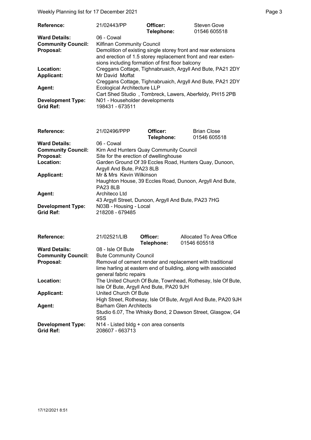Weekly Planning list for 17 December 2021 **Page 3** Page 3

| 21/02443/PP                                                    | Officer: | <b>Steven Gove</b>                                                                                                                                                                                                                                                                                                                                                                                                                 |
|----------------------------------------------------------------|----------|------------------------------------------------------------------------------------------------------------------------------------------------------------------------------------------------------------------------------------------------------------------------------------------------------------------------------------------------------------------------------------------------------------------------------------|
|                                                                |          | 01546 605518                                                                                                                                                                                                                                                                                                                                                                                                                       |
| 06 - Cowal                                                     |          |                                                                                                                                                                                                                                                                                                                                                                                                                                    |
|                                                                |          |                                                                                                                                                                                                                                                                                                                                                                                                                                    |
| Demolition of existing single storey front and rear extensions |          |                                                                                                                                                                                                                                                                                                                                                                                                                                    |
|                                                                |          |                                                                                                                                                                                                                                                                                                                                                                                                                                    |
|                                                                |          |                                                                                                                                                                                                                                                                                                                                                                                                                                    |
|                                                                |          |                                                                                                                                                                                                                                                                                                                                                                                                                                    |
| Mr David Moffat                                                |          |                                                                                                                                                                                                                                                                                                                                                                                                                                    |
|                                                                |          |                                                                                                                                                                                                                                                                                                                                                                                                                                    |
|                                                                |          |                                                                                                                                                                                                                                                                                                                                                                                                                                    |
|                                                                |          |                                                                                                                                                                                                                                                                                                                                                                                                                                    |
|                                                                |          |                                                                                                                                                                                                                                                                                                                                                                                                                                    |
| 198431 - 673511                                                |          |                                                                                                                                                                                                                                                                                                                                                                                                                                    |
|                                                                |          | Telephone:<br><b>Kilfinan Community Council</b><br>and erection of 1.5 storey replacement front and rear exten-<br>sions including formation of first floor balcony<br>Creggans Cottage, Tighnabruaich, Argyll And Bute, PA21 2DY<br>Creggans Cottage, Tighnabruaich, Argyll And Bute, PA21 2DY<br><b>Ecological Architecture LLP</b><br>Cart Shed Studio, Tombreck, Lawers, Aberfeldy, PH15 2PB<br>N01 - Householder developments |

| <b>Reference:</b>         | 21/02496/PPP                                             | Officer:   | <b>Brian Close</b> |
|---------------------------|----------------------------------------------------------|------------|--------------------|
|                           |                                                          | Telephone: | 01546 605518       |
| <b>Ward Details:</b>      | 06 - Cowal                                               |            |                    |
| <b>Community Council:</b> | Kirn And Hunters Quay Community Council                  |            |                    |
| Proposal:                 | Site for the erection of dwellinghouse                   |            |                    |
| Location:                 | Garden Ground Of 39 Eccles Road, Hunters Quay, Dunoon,   |            |                    |
|                           | Argyll And Bute, PA23 8LB                                |            |                    |
| <b>Applicant:</b>         | Mr & Mrs Kevin Wilkinson                                 |            |                    |
|                           | Haughton House, 39 Eccles Road, Dunoon, Argyll And Bute, |            |                    |
|                           | <b>PA23 8LB</b>                                          |            |                    |
| Agent:                    | Architeco Ltd                                            |            |                    |
|                           | 43 Argyll Street, Dunoon, Argyll And Bute, PA23 7HG      |            |                    |
| <b>Development Type:</b>  | N03B - Housing - Local                                   |            |                    |
| <b>Grid Ref:</b>          | 218208 - 679485                                          |            |                    |

| <b>Reference:</b>         | 21/02521/LIB                            | Officer:   | Allocated To Area Office                                       |
|---------------------------|-----------------------------------------|------------|----------------------------------------------------------------|
|                           |                                         | Telephone: | 01546 605518                                                   |
| <b>Ward Details:</b>      | 08 - Isle Of Bute                       |            |                                                                |
| <b>Community Council:</b> | <b>Bute Community Council</b>           |            |                                                                |
| Proposal:                 |                                         |            | Removal of cement render and replacement with traditional      |
|                           |                                         |            | lime harling at eastern end of building, along with associated |
|                           | general fabric repairs                  |            |                                                                |
| Location:                 |                                         |            | The United Church Of Bute, Townhead, Rothesay, Isle Of Bute,   |
|                           | Isle Of Bute, Argyll And Bute, PA20 9JH |            |                                                                |
| <b>Applicant:</b>         | United Church Of Bute                   |            |                                                                |
|                           |                                         |            | High Street, Rothesay, Isle Of Bute, Argyll And Bute, PA20 9JH |
| Agent:                    | <b>Barham Glen Architects</b>           |            |                                                                |
|                           |                                         |            | Studio 6.07, The Whisky Bond, 2 Dawson Street, Glasgow, G4     |
|                           | 9SS                                     |            |                                                                |
| <b>Development Type:</b>  | N14 - Listed bldg + con area consents   |            |                                                                |
| <b>Grid Ref:</b>          | 208607 - 663713                         |            |                                                                |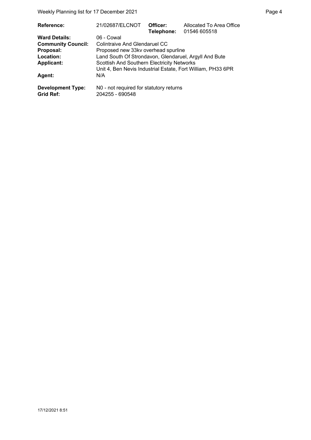| Reference:                | 21/02687/ELCNOT                                       | Officer:<br>Telephone: | Allocated To Area Office<br>01546 605518                    |
|---------------------------|-------------------------------------------------------|------------------------|-------------------------------------------------------------|
| <b>Ward Details:</b>      | 06 - Cowal                                            |                        |                                                             |
| <b>Community Council:</b> | Colintraive And Glendaruel CC                         |                        |                                                             |
| Proposal:                 | Proposed new 33kv overhead spurline                   |                        |                                                             |
| Location:                 | Land South Of Strondavon, Glendaruel, Argyll And Bute |                        |                                                             |
| <b>Applicant:</b>         | Scottish And Southern Electricity Networks            |                        |                                                             |
|                           |                                                       |                        | Unit 4, Ben Nevis Industrial Estate, Fort William, PH33 6PR |
| <b>Agent:</b>             | N/A                                                   |                        |                                                             |
| <b>Development Type:</b>  | N0 - not required for statutory returns               |                        |                                                             |
| Grid Ref:                 | 204255 - 690548                                       |                        |                                                             |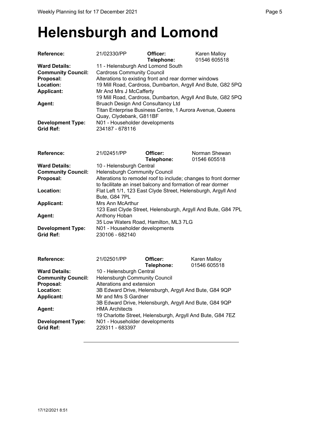### **Helensburgh and Lomond**

| <b>Reference:</b>                                                                                | 21/02330/PP                                                                                                                                                                                                                                                                              | Officer:<br>Telephone:                                     | Karen Malloy<br>01546 605518  |  |
|--------------------------------------------------------------------------------------------------|------------------------------------------------------------------------------------------------------------------------------------------------------------------------------------------------------------------------------------------------------------------------------------------|------------------------------------------------------------|-------------------------------|--|
| <b>Ward Details:</b><br><b>Community Council:</b><br>Proposal:<br>Location:<br><b>Applicant:</b> | 11 - Helensburgh And Lomond South<br><b>Cardross Community Council</b><br>Alterations to existing front and rear dormer windows<br>19 Mill Road, Cardross, Dumbarton, Argyll And Bute, G82 5PQ<br>Mr And Mrs J McCafferty<br>19 Mill Road, Cardross, Dumbarton, Argyll And Bute, G82 5PQ |                                                            |                               |  |
| Agent:                                                                                           | Bruach Design And Consultancy Ltd<br>Titan Enterprise Business Centre, 1 Aurora Avenue, Queens<br>Quay, Clydebank, G811BF                                                                                                                                                                |                                                            |                               |  |
| <b>Development Type:</b><br><b>Grid Ref:</b>                                                     | N01 - Householder developments<br>234187 - 678116                                                                                                                                                                                                                                        |                                                            |                               |  |
| <b>Reference:</b>                                                                                | 21/02451/PP                                                                                                                                                                                                                                                                              | Officer:<br>Telephone:                                     | Norman Shewan<br>01546 605518 |  |
| <b>Ward Details:</b><br><b>Community Council:</b><br>Proposal:                                   | 10 - Helensburgh Central<br><b>Helensburgh Community Council</b><br>Alterations to remodel roof to include; changes to front dormer<br>to facilitate an inset balcony and formation of rear dormer                                                                                       |                                                            |                               |  |
| Location:                                                                                        | Flat Left 1/1, 123 East Clyde Street, Helensburgh, Argyll And<br>Bute, G84 7PL                                                                                                                                                                                                           |                                                            |                               |  |
| <b>Applicant:</b>                                                                                | Mrs Ann McArthur<br>123 East Clyde Street, Helensburgh, Argyll And Bute, G84 7PL                                                                                                                                                                                                         |                                                            |                               |  |
| Agent:                                                                                           | Anthony Hoban<br>35 Low Waters Road, Hamilton, ML3 7LG                                                                                                                                                                                                                                   |                                                            |                               |  |
| <b>Development Type:</b><br><b>Grid Ref:</b>                                                     | N01 - Householder developments<br>230106 - 682140                                                                                                                                                                                                                                        |                                                            |                               |  |
| <b>Reference:</b>                                                                                | 21/02501/PP                                                                                                                                                                                                                                                                              | Officer:<br>Telephone:                                     | Karen Malloy<br>01546 605518  |  |
| <b>Ward Details:</b><br><b>Community Council:</b>                                                | 10 - Helensburgh Central<br><b>Helensburgh Community Council</b>                                                                                                                                                                                                                         |                                                            |                               |  |
| Proposal:<br>Location:                                                                           | Alterations and extension                                                                                                                                                                                                                                                                | 3B Edward Drive, Helensburgh, Argyll And Bute, G84 9QP     |                               |  |
| <b>Applicant:</b>                                                                                | Mr and Mrs S Gardner                                                                                                                                                                                                                                                                     | 3B Edward Drive, Helensburgh, Argyll And Bute, G84 9QP     |                               |  |
| Agent:                                                                                           | <b>HMA Architects</b>                                                                                                                                                                                                                                                                    | 19 Charlotte Street, Helensburgh, Argyll And Bute, G84 7EZ |                               |  |

**Development Type:** N01 - Householder developments<br>
Grid Ref: 229311 - 683397

**Grid Ref:** 229311 - 683397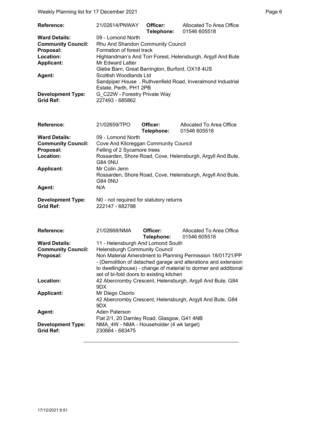Weekly Planning list for 17 December 2021 **Page 6** and the end of the Page 6

| <b>Reference:</b>         | 21/02614/PNWAY                                              | Officer:<br>Telephone: | Allocated To Area Office<br>01546 605518 |
|---------------------------|-------------------------------------------------------------|------------------------|------------------------------------------|
| <b>Ward Details:</b>      | 09 - Lomond North                                           |                        |                                          |
| <b>Community Council:</b> | Rhu And Shandon Community Council                           |                        |                                          |
| Proposal:                 | Formation of forest track                                   |                        |                                          |
| Location:                 | Highlandman's And Torr Forest, Helensburgh, Argyll And Bute |                        |                                          |
| <b>Applicant:</b>         | <b>Mr Edward Latter</b>                                     |                        |                                          |
|                           | Glebe Barn, Great Barrington, Burford, OX18 4US             |                        |                                          |
| <b>Agent:</b>             | Scottish Woodlands Ltd                                      |                        |                                          |
|                           | Sandpiper House, Ruthvenfield Road, Inveralmond Industrial  |                        |                                          |
|                           | Estate, Perth, PH1 2PB                                      |                        |                                          |
| <b>Development Type:</b>  | G C22W - Forestry Private Way                               |                        |                                          |
| <b>Grid Ref:</b>          | 227493 - 685862                                             |                        |                                          |

| Reference:                | 21/02659/TPO                                               | Officer:<br>Telephone: | Allocated To Area Office<br>01546 605518                   |
|---------------------------|------------------------------------------------------------|------------------------|------------------------------------------------------------|
| <b>Ward Details:</b>      | 09 - Lomond North                                          |                        |                                                            |
| <b>Community Council:</b> | Cove And Kilcreggan Community Council                      |                        |                                                            |
| Proposal:                 | Felling of 2 Sycamore trees                                |                        |                                                            |
| Location:                 | Rossarden, Shore Road, Cove, Helensburgh, Argyll And Bute, |                        |                                                            |
|                           | <b>G84 0NU</b>                                             |                        |                                                            |
| <b>Applicant:</b>         | Mr Colin Jenn                                              |                        |                                                            |
|                           |                                                            |                        | Rossarden, Shore Road, Cove, Helensburgh, Argyll And Bute, |
|                           | <b>G84 0NU</b>                                             |                        |                                                            |
| Agent:                    | N/A                                                        |                        |                                                            |
| <b>Development Type:</b>  | N0 - not required for statutory returns                    |                        |                                                            |
| <b>Grid Ref:</b>          | 222147 - 682788                                            |                        |                                                            |

| Reference:                                   | 21/02668/NMA                                                                                                                                                                                                                               | Officer:                | Allocated To Area Office                                  |
|----------------------------------------------|--------------------------------------------------------------------------------------------------------------------------------------------------------------------------------------------------------------------------------------------|-------------------------|-----------------------------------------------------------|
|                                              |                                                                                                                                                                                                                                            | Telephone: 01546 605518 |                                                           |
| <b>Ward Details:</b>                         | 11 - Helensburgh And Lomond South                                                                                                                                                                                                          |                         |                                                           |
| <b>Community Council:</b>                    | <b>Helensburgh Community Council</b>                                                                                                                                                                                                       |                         |                                                           |
| Proposal:                                    | Non Material Amendment to Planning Permission 18/01721/PP<br>- (Demolition of detached garage and alterations and extension<br>to dwellinghouse) - change of material to dormer and additional<br>set of bi-fold doors to existing kitchen |                         |                                                           |
| Location:                                    | 9DX                                                                                                                                                                                                                                        |                         | 42 Abercromby Crescent, Helensburgh, Argyll And Bute, G84 |
| <b>Applicant:</b>                            | Mr Diego Osorio<br>9DX.                                                                                                                                                                                                                    |                         | 42 Abercromby Crescent, Helensburgh, Argyll And Bute, G84 |
| Agent:                                       | Aden Paterson<br>Flat 2/1, 20 Darnley Road, Glasgow, G41 4NB                                                                                                                                                                               |                         |                                                           |
| <b>Development Type:</b><br><b>Grid Ref:</b> | NMA 4W - NMA - Householder (4 wk target)<br>230684 - 683475                                                                                                                                                                                |                         |                                                           |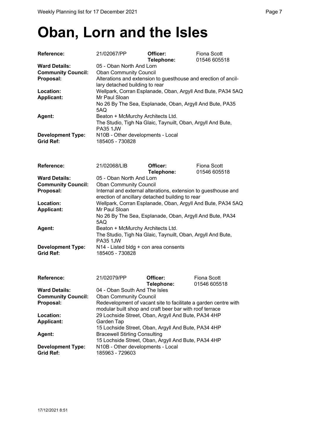### **Oban, Lorn and the Isles**

| <b>Reference:</b>                            | 21/02067/PP                                                     | Officer:<br>Telephone: | Fiona Scott<br>01546 605518 |
|----------------------------------------------|-----------------------------------------------------------------|------------------------|-----------------------------|
| <b>Ward Details:</b>                         | 05 - Oban North And Lorn                                        |                        |                             |
| <b>Community Council:</b>                    | <b>Oban Community Council</b>                                   |                        |                             |
| Proposal:                                    | Alterations and extension to guesthouse and erection of ancil-  |                        |                             |
|                                              | lary detached building to rear                                  |                        |                             |
| Location:                                    | Wellpark, Corran Esplanade, Oban, Argyll And Bute, PA34 5AQ     |                        |                             |
| <b>Applicant:</b>                            | Mr Paul Sloan                                                   |                        |                             |
|                                              | No 26 By The Sea, Esplanade, Oban, Argyll And Bute, PA35<br>5AQ |                        |                             |
| Agent:                                       | Beaton + McMurchy Architects Ltd.                               |                        |                             |
|                                              | The Studio, Tigh Na Glaic, Taynuilt, Oban, Argyll And Bute,     |                        |                             |
|                                              | <b>PA35 1JW</b>                                                 |                        |                             |
| <b>Development Type:</b><br><b>Grid Ref:</b> | N10B - Other developments - Local<br>185405 - 730828            |                        |                             |

| <b>Reference:</b>         | 21/02068/LIB                                                   | Officer:   | Fiona Scott  |
|---------------------------|----------------------------------------------------------------|------------|--------------|
|                           |                                                                | Telephone: | 01546 605518 |
| <b>Ward Details:</b>      | 05 - Oban North And Lorn                                       |            |              |
| <b>Community Council:</b> | <b>Oban Community Council</b>                                  |            |              |
| Proposal:                 | Internal and external alterations, extension to guesthouse and |            |              |
|                           | erection of ancillary detached building to rear                |            |              |
| Location:                 | Wellpark, Corran Esplanade, Oban, Argyll And Bute, PA34 5AQ    |            |              |
| <b>Applicant:</b>         | Mr Paul Sloan                                                  |            |              |
|                           | No 26 By The Sea, Esplanade, Oban, Argyll And Bute, PA34       |            |              |
|                           | 5AQ                                                            |            |              |
| Agent:                    | Beaton + McMurchy Architects Ltd.                              |            |              |
|                           | The Studio, Tigh Na Glaic, Taynuilt, Oban, Argyll And Bute,    |            |              |
|                           | <b>PA35 1JW</b>                                                |            |              |
| <b>Development Type:</b>  | N14 - Listed bldg + con area consents                          |            |              |
| <b>Grid Ref:</b>          | 185405 - 730828                                                |            |              |

| Reference:                | 21/02079/PP                                                     | Officer:   | Fiona Scott  |
|---------------------------|-----------------------------------------------------------------|------------|--------------|
|                           |                                                                 | Telephone: | 01546 605518 |
| <b>Ward Details:</b>      | 04 - Oban South And The Isles                                   |            |              |
| <b>Community Council:</b> | <b>Oban Community Council</b>                                   |            |              |
| Proposal:                 | Redevelopment of vacant site to facilitate a garden centre with |            |              |
|                           | modular built shop and craft beer bar with roof terrace         |            |              |
| Location:                 | 29 Lochside Street, Oban, Argyll And Bute, PA34 4HP             |            |              |
| <b>Applicant:</b>         | Garden Tap                                                      |            |              |
|                           | 15 Lochside Street, Oban, Argyll And Bute, PA34 4HP             |            |              |
| Agent:                    | <b>Bracewell Stirling Consulting</b>                            |            |              |
|                           | 15 Lochside Street, Oban, Argyll And Bute, PA34 4HP             |            |              |
| <b>Development Type:</b>  | N10B - Other developments - Local                               |            |              |
| <b>Grid Ref:</b>          | 185963 - 729603                                                 |            |              |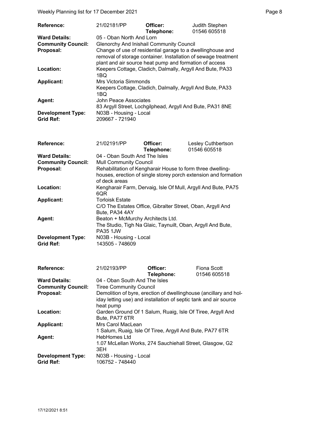Weekly Planning list for 17 December 2021 **Page 8** and the state of the Page 8

| Reference:                | 21/02181/PP                                                                                                                                                                            | Officer:<br>Telephone: | Judith Stephen<br>01546 605518 |
|---------------------------|----------------------------------------------------------------------------------------------------------------------------------------------------------------------------------------|------------------------|--------------------------------|
| <b>Ward Details:</b>      | 05 - Oban North And Lorn                                                                                                                                                               |                        |                                |
| <b>Community Council:</b> | <b>Glenorchy And Inishail Community Council</b>                                                                                                                                        |                        |                                |
| Proposal:                 | Change of use of residential garage to a dwellinghouse and<br>removal of storage container. Installation of sewage treatment<br>plant and air source heat pump and formation of access |                        |                                |
| Location:                 | Keepers Cottage, Cladich, Dalmally, Argyll And Bute, PA33<br>1BQ                                                                                                                       |                        |                                |
| <b>Applicant:</b>         | Mrs Victoria Simmonds                                                                                                                                                                  |                        |                                |
|                           | Keepers Cottage, Cladich, Dalmally, Argyll And Bute, PA33<br>1BQ                                                                                                                       |                        |                                |
| <b>Agent:</b>             | John Peace Associates<br>83 Argyll Street, Lochgilphead, Argyll And Bute, PA31 8NE                                                                                                     |                        |                                |
|                           |                                                                                                                                                                                        |                        |                                |
| <b>Development Type:</b>  | N03B - Housing - Local                                                                                                                                                                 |                        |                                |
| <b>Grid Ref:</b>          | 209667 - 721940                                                                                                                                                                        |                        |                                |

| <b>Reference:</b>                                              | 21/02191/PP                                                                                                                                                                                     | Officer:<br>Telephone: | Lesley Cuthbertson<br>01546 605518                            |  |
|----------------------------------------------------------------|-------------------------------------------------------------------------------------------------------------------------------------------------------------------------------------------------|------------------------|---------------------------------------------------------------|--|
| <b>Ward Details:</b><br><b>Community Council:</b><br>Proposal: | 04 - Oban South And The Isles<br><b>Mull Community Council</b><br>Rehabilitation of Kengharair House to form three dwelling-<br>houses, erection of single storey porch extension and formation |                        |                                                               |  |
| Location:                                                      | of deck areas<br>6QR                                                                                                                                                                            |                        | Kengharair Farm, Dervaig, Isle Of Mull, Argyll And Bute, PA75 |  |
| <b>Applicant:</b>                                              | <b>Torloisk Estate</b><br>C/O The Estates Office, Gibralter Street, Oban, Argyll And<br>Bute, PA34 4AY                                                                                          |                        |                                                               |  |
| Agent:                                                         | Beaton + McMurchy Architects Ltd.<br>The Studio, Tigh Na Glaic, Taynuilt, Oban, Argyll And Bute,<br><b>PA35 1JW</b>                                                                             |                        |                                                               |  |
| <b>Development Type:</b><br><b>Grid Ref:</b>                   | N03B - Housing - Local<br>143505 - 748609                                                                                                                                                       |                        |                                                               |  |
| <b>Reference:</b>                                              | 21/02193/PP                                                                                                                                                                                     | Officer:<br>Telephone: | <b>Fiona Scott</b><br>01546 605518                            |  |
| <b>Ward Details:</b><br><b>Community Council:</b>              | 04 - Oban South And The Isles<br><b>Tiree Community Council</b>                                                                                                                                 |                        |                                                               |  |
| Proposal:                                                      | Demolition of byre, erection of dwellinghouse (ancillary and hol-<br>iday letting use) and installation of septic tank and air source<br>heat pump                                              |                        |                                                               |  |
| Location:                                                      | Garden Ground Of 1 Salum, Ruaig, Isle Of Tiree, Argyll And<br>Bute, PA77 6TR                                                                                                                    |                        |                                                               |  |
| <b>Applicant:</b>                                              | Mrs Carol MacLean<br>1 Salum, Ruaig, Isle Of Tiree, Argyll And Bute, PA77 6TR                                                                                                                   |                        |                                                               |  |
| Agent:                                                         | <b>HebHomes Ltd</b><br>1.07 McLellan Works, 274 Sauchiehall Street, Glasgow, G2<br>3EH                                                                                                          |                        |                                                               |  |
| <b>Development Type:</b><br><b>Grid Ref:</b>                   | N03B - Housing - Local<br>106752 - 748440                                                                                                                                                       |                        |                                                               |  |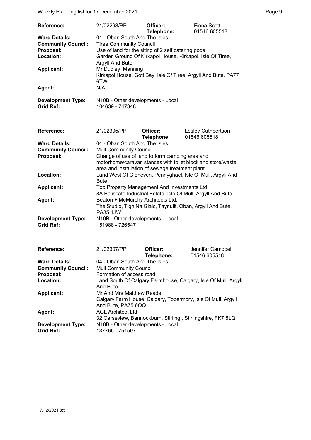Weekly Planning list for 17 December 2021 **Page 9** and the end of the Page 9

| <b>Reference:</b>                                                                                                                      | 21/02298/PP                                                                                                                                                                                                                                                                                                                                                                   | Officer:               | Fiona Scott                                                    |  |
|----------------------------------------------------------------------------------------------------------------------------------------|-------------------------------------------------------------------------------------------------------------------------------------------------------------------------------------------------------------------------------------------------------------------------------------------------------------------------------------------------------------------------------|------------------------|----------------------------------------------------------------|--|
| <b>Ward Details:</b><br><b>Community Council:</b><br>Proposal:<br>Location:<br><b>Applicant:</b><br>Agent:<br><b>Development Type:</b> | Telephone:<br>01546 605518<br>04 - Oban South And The Isles<br><b>Tiree Community Council</b><br>Use of land for the siting of 2 self catering pods<br>Garden Ground Of Kirkapol House, Kirkapol, Isle Of Tiree,<br>Argyll And Bute<br>Mr Dudley Manning<br>Kirkapol House, Gott Bay, Isle Of Tiree, Argyll And Bute, PA77<br>6TW<br>N/A<br>N10B - Other developments - Local |                        |                                                                |  |
| <b>Grid Ref:</b>                                                                                                                       | 104639 - 747348                                                                                                                                                                                                                                                                                                                                                               |                        |                                                                |  |
|                                                                                                                                        |                                                                                                                                                                                                                                                                                                                                                                               |                        |                                                                |  |
| Reference:                                                                                                                             | 21/02305/PP                                                                                                                                                                                                                                                                                                                                                                   | Officer:<br>Telephone: | Lesley Cuthbertson<br>01546 605518                             |  |
| <b>Ward Details:</b>                                                                                                                   | 04 - Oban South And The Isles                                                                                                                                                                                                                                                                                                                                                 |                        |                                                                |  |
| <b>Community Council:</b>                                                                                                              | <b>Mull Community Council</b>                                                                                                                                                                                                                                                                                                                                                 |                        |                                                                |  |
| Proposal:                                                                                                                              | Change of use of land to form camping area and                                                                                                                                                                                                                                                                                                                                |                        |                                                                |  |
|                                                                                                                                        |                                                                                                                                                                                                                                                                                                                                                                               |                        | motorhome/caravan stances with toilet block and store/waste    |  |
| Location:                                                                                                                              | area and installation of sewage treatment plant                                                                                                                                                                                                                                                                                                                               |                        |                                                                |  |
|                                                                                                                                        | Bute                                                                                                                                                                                                                                                                                                                                                                          |                        | Land West Of Gleneven, Pennyghael, Isle Of Mull, Argyll And    |  |
| <b>Applicant:</b>                                                                                                                      | Tob Property Management And Investments Ltd                                                                                                                                                                                                                                                                                                                                   |                        |                                                                |  |
|                                                                                                                                        | 8A Baliscate Industrial Estate, Isle Of Mull, Argyll And Bute                                                                                                                                                                                                                                                                                                                 |                        |                                                                |  |
| Agent:                                                                                                                                 | Beaton + McMurchy Architects Ltd.                                                                                                                                                                                                                                                                                                                                             |                        |                                                                |  |
|                                                                                                                                        |                                                                                                                                                                                                                                                                                                                                                                               |                        | The Studio, Tigh Na Glaic, Taynuilt, Oban, Argyll And Bute,    |  |
|                                                                                                                                        | <b>PA35 1JW</b>                                                                                                                                                                                                                                                                                                                                                               |                        |                                                                |  |
| <b>Development Type:</b>                                                                                                               | N10B - Other developments - Local                                                                                                                                                                                                                                                                                                                                             |                        |                                                                |  |
| <b>Grid Ref:</b>                                                                                                                       | 151988 - 726547                                                                                                                                                                                                                                                                                                                                                               |                        |                                                                |  |
|                                                                                                                                        |                                                                                                                                                                                                                                                                                                                                                                               |                        |                                                                |  |
| <b>Reference:</b>                                                                                                                      | 21/02307/PP                                                                                                                                                                                                                                                                                                                                                                   | Officer:<br>Telephone: | Jennifer Campbell<br>01546 605518                              |  |
| <b>Ward Details:</b>                                                                                                                   | 04 - Oban South And The Isles                                                                                                                                                                                                                                                                                                                                                 |                        |                                                                |  |
| <b>Community Council:</b>                                                                                                              | <b>Mull Community Council</b>                                                                                                                                                                                                                                                                                                                                                 |                        |                                                                |  |
| Proposal:                                                                                                                              | Formation of access road                                                                                                                                                                                                                                                                                                                                                      |                        |                                                                |  |
| Location:                                                                                                                              |                                                                                                                                                                                                                                                                                                                                                                               |                        | Land South Of Calgary Farmhouse, Calgary, Isle Of Mull, Argyll |  |
|                                                                                                                                        | And Bute                                                                                                                                                                                                                                                                                                                                                                      |                        |                                                                |  |
| <b>Applicant:</b>                                                                                                                      | Mr And Mrs Matthew Reade                                                                                                                                                                                                                                                                                                                                                      |                        |                                                                |  |
|                                                                                                                                        |                                                                                                                                                                                                                                                                                                                                                                               |                        | Calgary Farm House, Calgary, Tobermory, Isle Of Mull, Argyll   |  |
|                                                                                                                                        | And Bute, PA75 6QQ                                                                                                                                                                                                                                                                                                                                                            |                        |                                                                |  |
| Agent:                                                                                                                                 | <b>AGL Architect Ltd</b>                                                                                                                                                                                                                                                                                                                                                      |                        |                                                                |  |
|                                                                                                                                        |                                                                                                                                                                                                                                                                                                                                                                               |                        | 32 Carseview, Bannockburn, Stirling, Stirlingshire, FK7 8LQ    |  |
| <b>Development Type:</b><br><b>Grid Ref:</b>                                                                                           | N10B - Other developments - Local<br>137765 - 751597                                                                                                                                                                                                                                                                                                                          |                        |                                                                |  |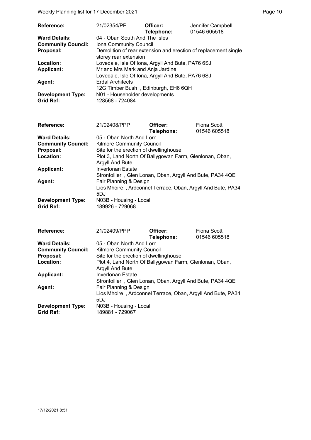Weekly Planning list for 17 December 2021 **Page 10** Page 10

| <b>Reference:</b>         | 21/02354/PP                                                                              | Officer:<br>Telephone: | Jennifer Campbell<br>01546 605518 |
|---------------------------|------------------------------------------------------------------------------------------|------------------------|-----------------------------------|
| <b>Ward Details:</b>      | 04 - Oban South And The Isles                                                            |                        |                                   |
| <b>Community Council:</b> | Iona Community Council                                                                   |                        |                                   |
| Proposal:                 | Demolition of rear extension and erection of replacement single<br>storey rear extension |                        |                                   |
| Location:                 | Lovedale, Isle Of Iona, Argyll And Bute, PA76 6SJ                                        |                        |                                   |
| <b>Applicant:</b>         | Mr and Mrs Mark and Anja Jardine                                                         |                        |                                   |
|                           | Lovedale, Isle Of Iona, Argyll And Bute, PA76 6SJ                                        |                        |                                   |
| Agent:                    | <b>Erdal Architects</b>                                                                  |                        |                                   |
|                           | 12G Timber Bush, Edinburgh, EH6 6QH                                                      |                        |                                   |
| <b>Development Type:</b>  | N01 - Householder developments                                                           |                        |                                   |
| <b>Grid Ref:</b>          | 128568 - 724084                                                                          |                        |                                   |

| <b>Reference:</b>         | 21/02408/PPP                                                | Officer:   | <b>Fiona Scott</b> |
|---------------------------|-------------------------------------------------------------|------------|--------------------|
|                           |                                                             | Telephone: | 01546 605518       |
| <b>Ward Details:</b>      | 05 - Oban North And Lorn                                    |            |                    |
| <b>Community Council:</b> | <b>Kilmore Community Council</b>                            |            |                    |
| Proposal:                 | Site for the erection of dwellinghouse                      |            |                    |
| Location:                 | Plot 3, Land North Of Ballygowan Farm, Glenlonan, Oban,     |            |                    |
|                           | Argyll And Bute                                             |            |                    |
| <b>Applicant:</b>         | Inverlonan Estate                                           |            |                    |
|                           | Strontoiller, Glen Lonan, Oban, Argyll And Bute, PA34 4QE   |            |                    |
| <b>Agent:</b>             | Fair Planning & Design                                      |            |                    |
|                           | Lios Mhoire, Ardconnel Terrace, Oban, Argyll And Bute, PA34 |            |                    |
|                           | 5DJ                                                         |            |                    |
| <b>Development Type:</b>  | N03B - Housing - Local                                      |            |                    |
| <b>Grid Ref:</b>          | 189926 - 729068                                             |            |                    |

| <b>Reference:</b>         | 21/02409/PPP                                                | Officer:   | Fiona Scott  |
|---------------------------|-------------------------------------------------------------|------------|--------------|
|                           |                                                             | Telephone: | 01546 605518 |
| <b>Ward Details:</b>      | 05 - Oban North And Lorn                                    |            |              |
| <b>Community Council:</b> | <b>Kilmore Community Council</b>                            |            |              |
| Proposal:                 | Site for the erection of dwellinghouse                      |            |              |
| Location:                 | Plot 4, Land North Of Ballygowan Farm, Glenlonan, Oban,     |            |              |
|                           | Argyll And Bute                                             |            |              |
| <b>Applicant:</b>         | Inverlonan Estate                                           |            |              |
|                           | Strontoiller, Glen Lonan, Oban, Argyll And Bute, PA34 4QE   |            |              |
| Agent:                    | Fair Planning & Design                                      |            |              |
|                           | Lios Mhoire, Ardconnel Terrace, Oban, Argyll And Bute, PA34 |            |              |
|                           | 5DJ                                                         |            |              |
| <b>Development Type:</b>  | N03B - Housing - Local                                      |            |              |
| <b>Grid Ref:</b>          | 189881 - 729067                                             |            |              |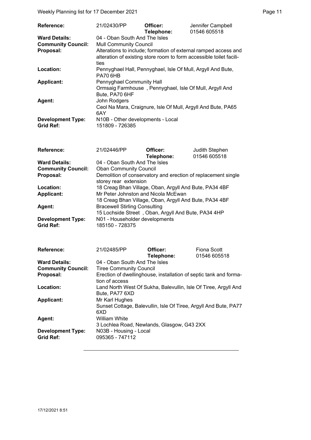Weekly Planning list for 17 December 2021 **Page 11** Page 11

| <b>Reference:</b>                            | 21/02430/PP                                                                                                                                    | Officer:<br>Telephone: | Jennifer Campbell<br>01546 605518 |  |
|----------------------------------------------|------------------------------------------------------------------------------------------------------------------------------------------------|------------------------|-----------------------------------|--|
| <b>Ward Details:</b>                         | 04 - Oban South And The Isles                                                                                                                  |                        |                                   |  |
| <b>Community Council:</b>                    | <b>Mull Community Council</b>                                                                                                                  |                        |                                   |  |
| Proposal:                                    | Alterations to include; formation of external ramped access and<br>alteration of existing store room to form accessible toilet facili-<br>ties |                        |                                   |  |
| Location:                                    | Pennyghael Hall, Pennyghael, Isle Of Mull, Argyll And Bute,<br><b>PA70 6HB</b>                                                                 |                        |                                   |  |
| <b>Applicant:</b>                            | Pennyghael Community Hall<br>Ormsaig Farmhouse, Pennyghael, Isle Of Mull, Argyll And<br>Bute, PA70 6HF                                         |                        |                                   |  |
| Agent:                                       | John Rodgers<br>Ceol Na Mara, Craignure, Isle Of Mull, Argyll And Bute, PA65<br>6AY                                                            |                        |                                   |  |
| <b>Development Type:</b><br><b>Grid Ref:</b> | N10B - Other developments - Local<br>151809 - 726385                                                                                           |                        |                                   |  |

| <b>Reference:</b>                     | 21/02446/PP                                                                            | Officer:   | Judith Stephen |
|---------------------------------------|----------------------------------------------------------------------------------------|------------|----------------|
|                                       |                                                                                        | Telephone: | 01546 605518   |
| <b>Ward Details:</b>                  | 04 - Oban South And The Isles                                                          |            |                |
| <b>Community Council:</b>             | <b>Oban Community Council</b>                                                          |            |                |
| Proposal:                             | Demolition of conservatory and erection of replacement single<br>storey rear extension |            |                |
| Location:                             | 18 Creag Bhan Village, Oban, Argyll And Bute, PA34 4BF                                 |            |                |
| <b>Applicant:</b>                     | Mr Peter Johnston and Nicola McEwan                                                    |            |                |
|                                       | 18 Creag Bhan Village, Oban, Argyll And Bute, PA34 4BF                                 |            |                |
| Agent:                                | <b>Bracewell Stirling Consulting</b>                                                   |            |                |
|                                       | 15 Lochside Street, Oban, Argyll And Bute, PA34 4HP                                    |            |                |
| <b>Development Type:</b><br>Grid Ref: | N01 - Householder developments<br>185150 - 728375                                      |            |                |

| <b>Reference:</b>         | 21/02485/PP                                                       | Officer:   | Fiona Scott  |
|---------------------------|-------------------------------------------------------------------|------------|--------------|
|                           |                                                                   | Telephone: | 01546 605518 |
| <b>Ward Details:</b>      | 04 - Oban South And The Isles                                     |            |              |
| <b>Community Council:</b> | <b>Tiree Community Council</b>                                    |            |              |
| Proposal:                 | Erection of dwellinghouse, installation of septic tank and forma- |            |              |
|                           | tion of access                                                    |            |              |
| Location:                 | Land North West Of Sukha, Balevullin, Isle Of Tiree, Argyll And   |            |              |
|                           | Bute, PA77 6XD                                                    |            |              |
| <b>Applicant:</b>         | Mr Karl Hughes                                                    |            |              |
|                           | Sunset Cottage, Balevullin, Isle Of Tiree, Argyll And Bute, PA77  |            |              |
|                           | 6XD                                                               |            |              |
| Agent:                    | <b>William White</b>                                              |            |              |
|                           | 3 Lochlea Road, Newlands, Glasgow, G43 2XX                        |            |              |
| <b>Development Type:</b>  | N03B - Housing - Local                                            |            |              |
| <b>Grid Ref:</b>          | 095365 - 747112                                                   |            |              |
|                           |                                                                   |            |              |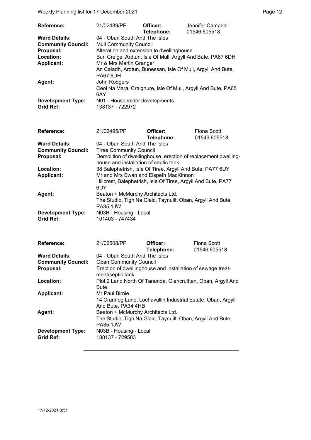Weekly Planning list for 17 December 2021 **Page 12** and the US of the Page 12

| <b>Reference:</b>         | 21/02489/PP                                                  | Officer:   | Jennifer Campbell |
|---------------------------|--------------------------------------------------------------|------------|-------------------|
|                           |                                                              | Telephone: | 01546 605518      |
| <b>Ward Details:</b>      | 04 - Oban South And The Isles                                |            |                   |
| <b>Community Council:</b> | <b>Mull Community Council</b>                                |            |                   |
| Proposal:                 | Alteration and extension to dwellinghouse                    |            |                   |
| Location:                 | Bun Creige, Ardtun, Isle Of Mull, Argyll And Bute, PA67 6DH  |            |                   |
| <b>Applicant:</b>         | Mr & Mrs Martin Granger                                      |            |                   |
|                           | An Caladh, Ardtun, Bunessan, Isle Of Mull, Argyll And Bute,  |            |                   |
|                           | PA67 6DH                                                     |            |                   |
| Agent:                    | John Rodgers                                                 |            |                   |
|                           | Ceol Na Mara, Craignure, Isle Of Mull, Argyll And Bute, PA65 |            |                   |
|                           | 6AY                                                          |            |                   |
| <b>Development Type:</b>  | N01 - Householder developments                               |            |                   |
| <b>Grid Ref:</b>          | 138137 - 722972                                              |            |                   |

| Reference:                | 21/02495/PP                                                                    | Officer:   | Fiona Scott  |
|---------------------------|--------------------------------------------------------------------------------|------------|--------------|
|                           |                                                                                | Telephone: | 01546 605518 |
| <b>Ward Details:</b>      | 04 - Oban South And The Isles                                                  |            |              |
| <b>Community Council:</b> | <b>Tiree Community Council</b>                                                 |            |              |
| Proposal:                 | Demolition of dwellinghouse, erection of replacement dwelling-                 |            |              |
|                           | house and installation of septic tank                                          |            |              |
| Location:                 | 38 Balephetrish, Isle Of Tiree, Argyll And Bute, PA77 6UY                      |            |              |
| <b>Applicant:</b>         | Mr and Mrs Ewan and Elspeth MacKinnon                                          |            |              |
|                           | Hillcrest, Balephetrish, Isle Of Tiree, Argyll And Bute, PA77<br>6UY           |            |              |
| Agent:                    | Beaton + McMurchy Architects Ltd.                                              |            |              |
|                           | The Studio, Tigh Na Glaic, Taynuilt, Oban, Argyll And Bute,<br><b>PA35 1JW</b> |            |              |
| <b>Development Type:</b>  | N03B - Housing - Local                                                         |            |              |
| <b>Grid Ref:</b>          | 101403 - 747434                                                                |            |              |

| <b>Reference:</b>         | 21/02508/PP                                                                        | Officer:   | Fiona Scott  |
|---------------------------|------------------------------------------------------------------------------------|------------|--------------|
|                           |                                                                                    | Telephone: | 01546 605518 |
| <b>Ward Details:</b>      | 04 - Oban South And The Isles                                                      |            |              |
| <b>Community Council:</b> | <b>Oban Community Council</b>                                                      |            |              |
| Proposal:                 | Erection of dwellinghouse and installation of sewage treat-<br>ment/septic tank    |            |              |
| Location:                 | Plot 2 Land North Of Tanunda, Glencruitten, Oban, Argyll And<br>Bute               |            |              |
| <b>Applicant:</b>         | Mr Paul Birnie                                                                     |            |              |
|                           | 14 Crannog Lane, Lochavullin Industrial Estate, Oban, Argyll<br>And Bute, PA34 4HB |            |              |
| Agent:                    | Beaton + McMurchy Architects Ltd.                                                  |            |              |
|                           | The Studio, Tigh Na Glaic, Taynuilt, Oban, Argyll And Bute,<br><b>PA35 1JW</b>     |            |              |
| <b>Development Type:</b>  | N03B - Housing - Local                                                             |            |              |
| <b>Grid Ref:</b>          | 188137 - 729503                                                                    |            |              |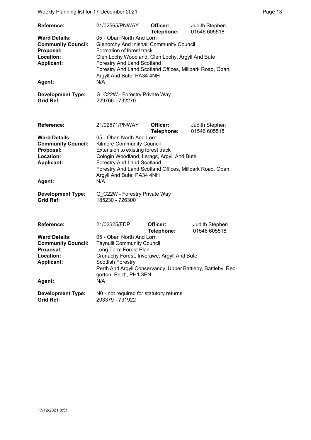Weekly Planning list for 17 December 2021 **Page 13** Page 13

| Reference:                                                                                                 | 21/02565/PNWAY                                                                                                                                                                                                                                                                                    | Officer:<br>Telephone: | Judith Stephen<br>01546 605518 |  |
|------------------------------------------------------------------------------------------------------------|---------------------------------------------------------------------------------------------------------------------------------------------------------------------------------------------------------------------------------------------------------------------------------------------------|------------------------|--------------------------------|--|
| <b>Ward Details:</b><br><b>Community Council:</b><br>Proposal:<br>Location:<br><b>Applicant:</b><br>Agent: | 05 - Oban North And Lorn<br><b>Glenorchy And Inishail Community Council</b><br>Formation of forest track<br>Glen Lochy Woodland, Glen Lochy, Argyll And Bute<br><b>Forestry And Land Scotland</b><br>Forestry And Land Scotland Offices, Millpark Road, Oban,<br>Argyll And Bute, PA34 4NH<br>N/A |                        |                                |  |
| <b>Development Type:</b><br><b>Grid Ref:</b>                                                               | G_C22W - Forestry Private Way<br>229766 - 732270                                                                                                                                                                                                                                                  |                        |                                |  |
| Reference:                                                                                                 | 21/02571/PNWAY                                                                                                                                                                                                                                                                                    | Officer:<br>Telephone: | Judith Stephen<br>01546 605518 |  |
| <b>Ward Details:</b><br><b>Community Council:</b><br>Proposal:<br>Location:<br><b>Applicant:</b><br>Agent: | 05 - Oban North And Lorn<br>Kilmore Community Council<br>Extension to existing forest track<br>Cologin Woodland, Lerags, Argyll And Bute<br><b>Forestry And Land Scotland</b><br>Forestry And Land Scotland Offices, Millpark Road, Oban,<br>Argyll And Bute, PA34 4NH<br>N/A                     |                        |                                |  |
| <b>Development Type:</b><br><b>Grid Ref:</b>                                                               | G_C22W - Forestry Private Way<br>185230 - 726300                                                                                                                                                                                                                                                  |                        |                                |  |
| Reference:                                                                                                 | 21/02625/FDP                                                                                                                                                                                                                                                                                      | Officer:<br>Telephone: | Judith Stephen<br>01546 605518 |  |
| <b>Ward Details:</b><br><b>Community Council:</b><br>Proposal:<br>Location:<br><b>Applicant:</b><br>Agent: | 05 - Oban North And Lorn<br><b>Taynuilt Community Council</b><br>Long Term Forest Plan<br>Crunachy Forest, Inverawe, Argyll And Bute<br><b>Scottish Forestry</b><br>Perth And Argyll Conservancy, Upper Battleby, Battleby, Red-<br>gorton, Perth, PH1 3EN<br>N/A                                 |                        |                                |  |
| <b>Development Type:</b><br><b>Grid Ref:</b>                                                               | N0 - not required for statutory returns<br>203379 - 731922                                                                                                                                                                                                                                        |                        |                                |  |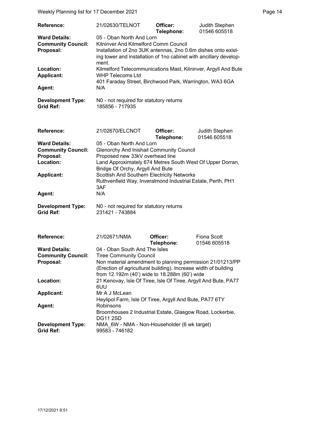Weekly Planning list for 17 December 2021 **Page 14** Page 14

| <b>Reference:</b>                            | 21/02630/TELNOT                                                                                                                             | Officer:   | <b>Judith Stephen</b>                                          |
|----------------------------------------------|---------------------------------------------------------------------------------------------------------------------------------------------|------------|----------------------------------------------------------------|
|                                              |                                                                                                                                             | Telephone: | 01546 605518                                                   |
| <b>Ward Details:</b>                         | 05 - Oban North And Lorn                                                                                                                    |            |                                                                |
| <b>Community Council:</b>                    | Kilninver And Kilmelford Comm Council                                                                                                       |            |                                                                |
| Proposal:                                    | Installation of 2no 3UK antennas, 2no 0.6m dishes onto exist-<br>ing tower and installation of 1no cabinet with ancillary develop-<br>ment. |            |                                                                |
| Location:<br><b>Applicant:</b>               | WHP Telecoms Ltd                                                                                                                            |            | Kilmelford Telecommunications Mast, Kilninver, Argyll And Bute |
|                                              | 401 Faraday Street, Birchwood Park, Warrington, WA3 6GA                                                                                     |            |                                                                |
| Agent:                                       | N/A                                                                                                                                         |            |                                                                |
| <b>Development Type:</b><br><b>Grid Ref:</b> | N0 - not required for statutory returns<br>185856 - 717935                                                                                  |            |                                                                |

| <b>Reference:</b>                                           | 21/02670/ELCNOT                                           | Officer:   | Judith Stephen |
|-------------------------------------------------------------|-----------------------------------------------------------|------------|----------------|
|                                                             |                                                           | Telephone: | 01546 605518   |
| <b>Ward Details:</b>                                        | 05 - Oban North And Lorn                                  |            |                |
| <b>Community Council:</b>                                   | <b>Glenorchy And Inishail Community Council</b>           |            |                |
| Proposal:                                                   | Proposed new 33kV overhead line                           |            |                |
| Location:                                                   | Land Approximately 674 Metres South West Of Upper Dorran, |            |                |
|                                                             | Bridge Of Orchy, Argyll And Bute                          |            |                |
| <b>Applicant:</b>                                           | Scottish And Southern Electricity Networks                |            |                |
| Ruthvenfield Way, Inveralmond Industrial Estate, Perth, PH1 |                                                           |            |                |
|                                                             | 3AF                                                       |            |                |
| Agent:                                                      | N/A                                                       |            |                |
| <b>Development Type:</b>                                    | N0 - not required for statutory returns                   |            |                |

**Grid Ref:** 231421 - 743884

| <b>Reference:</b>         | 21/02671/NMA                                                    | Officer:   | Fiona Scott  |
|---------------------------|-----------------------------------------------------------------|------------|--------------|
|                           |                                                                 | Telephone: | 01546 605518 |
| <b>Ward Details:</b>      | 04 - Oban South And The Isles                                   |            |              |
| <b>Community Council:</b> | <b>Tiree Community Council</b>                                  |            |              |
| Proposal:                 | Non material amendment to planning permission 21/01213/PP       |            |              |
|                           | (Erection of agricultural building). Increase width of building |            |              |
|                           | from 12.192m (40') wide to 18.288m (60') wide                   |            |              |
| Location:                 | 21 Kenovay, Isle Of Tiree, Isle Of Tiree, Argyll And Bute, PA77 |            |              |
|                           | 6UU                                                             |            |              |
| <b>Applicant:</b>         | Mr A J McLean                                                   |            |              |
|                           | Heylipol Farm, Isle Of Tiree, Argyll And Bute, PA77 6TY         |            |              |
| Agent:                    | Robinsons                                                       |            |              |
|                           | Broomhouses 2 Industrial Estate, Glasgow Road, Lockerbie,       |            |              |
|                           | <b>DG11 2SD</b>                                                 |            |              |
| <b>Development Type:</b>  | NMA 6W - NMA - Non-Householder (6 wk target)                    |            |              |
| <b>Grid Ref:</b>          | 99583 - 746182                                                  |            |              |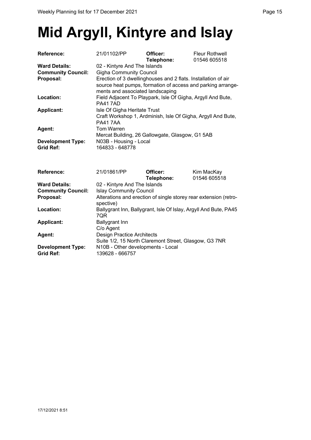# **Mid Argyll, Kintyre and Islay**

| <b>Reference:</b>         | 21/01102/PP                                                                                                                                                      | Officer:<br>Telephone: | <b>Fleur Rothwell</b><br>01546 605518 |  |
|---------------------------|------------------------------------------------------------------------------------------------------------------------------------------------------------------|------------------------|---------------------------------------|--|
| <b>Ward Details:</b>      | 02 - Kintyre And The Islands                                                                                                                                     |                        |                                       |  |
| <b>Community Council:</b> | <b>Gigha Community Council</b>                                                                                                                                   |                        |                                       |  |
| Proposal:                 | Erection of 3 dwellinghouses and 2 flats. Installation of air<br>source heat pumps, formation of access and parking arrange-<br>ments and associated landscaping |                        |                                       |  |
| Location:                 | Field Adjacent To Playpark, Isle Of Gigha, Argyll And Bute,<br><b>PA417AD</b>                                                                                    |                        |                                       |  |
| <b>Applicant:</b>         | Isle Of Gigha Heritate Trust<br>Craft Workshop 1, Ardminish, Isle Of Gigha, Argyll And Bute,<br><b>PA417AA</b>                                                   |                        |                                       |  |
| <b>Agent:</b>             | Tom Warren<br>Mercat Building, 26 Gallowgate, Glasgow, G1 5AB                                                                                                    |                        |                                       |  |
| <b>Development Type:</b>  | N03B - Housing - Local                                                                                                                                           |                        |                                       |  |
| <b>Grid Ref:</b>          | 164833 - 648778                                                                                                                                                  |                        |                                       |  |

| <b>Reference:</b>         | 21/01861/PP                                                                   | Officer:   | Kim MacKay   |
|---------------------------|-------------------------------------------------------------------------------|------------|--------------|
|                           |                                                                               | Telephone: | 01546 605518 |
| <b>Ward Details:</b>      | 02 - Kintyre And The Islands                                                  |            |              |
| <b>Community Council:</b> | <b>Islay Community Council</b>                                                |            |              |
| Proposal:                 | Alterations and erection of single storey rear extension (retro-<br>spective) |            |              |
| Location:                 | Ballygrant Inn, Ballygrant, Isle Of Islay, Argyll And Bute, PA45<br>7QR       |            |              |
| <b>Applicant:</b>         | <b>Ballygrant Inn</b>                                                         |            |              |
|                           | C/o Agent                                                                     |            |              |
| <b>Agent:</b>             | <b>Design Practice Architects</b>                                             |            |              |
|                           | Suite 1/2, 15 North Claremont Street, Glasgow, G3 7NR                         |            |              |
| <b>Development Type:</b>  | N10B - Other developments - Local                                             |            |              |
| <b>Grid Ref:</b>          | 139628 - 666757                                                               |            |              |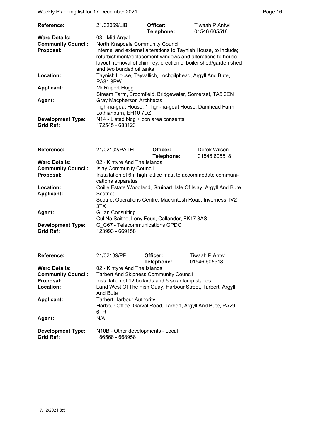Weekly Planning list for 17 December 2021 **Page 16** Neekly Planning list for 17 December 2021

| <b>Reference:</b>                            | 21/02069/LIB                                                                                                                                                                                                                 | Officer:<br>Telephone: | Tiwaah P Antwi<br>01546 605518 |
|----------------------------------------------|------------------------------------------------------------------------------------------------------------------------------------------------------------------------------------------------------------------------------|------------------------|--------------------------------|
| <b>Ward Details:</b>                         | 03 - Mid Argyll                                                                                                                                                                                                              |                        |                                |
| <b>Community Council:</b>                    | North Knapdale Community Council                                                                                                                                                                                             |                        |                                |
| Proposal:                                    | Internal and external alterations to Taynish House, to include;<br>refurbishment/replacement windows and alterations to house<br>layout, removal of chimney, erection of boiler shed/garden shed<br>and two bunded oil tanks |                        |                                |
| Location:                                    | Taynish House, Tayvallich, Lochgilphead, Argyll And Bute,<br><b>PA31 8PW</b>                                                                                                                                                 |                        |                                |
| <b>Applicant:</b>                            | Mr Rupert Hogg<br>Stream Farm, Broomfield, Bridgewater, Somerset, TA5 2EN                                                                                                                                                    |                        |                                |
| Agent:                                       | <b>Gray Macpherson Architects</b><br>Tigh-na-geat House, 1 Tigh-na-geat House, Damhead Farm,<br>Lothianburn, EH10 7DZ                                                                                                        |                        |                                |
| <b>Development Type:</b><br><b>Grid Ref:</b> | N14 - Listed bldg + con area consents<br>172545 - 683123                                                                                                                                                                     |                        |                                |

| <b>Reference:</b>         | 21/02102/PATEL                                                                    | Officer:   | Derek Wilson                                                     |
|---------------------------|-----------------------------------------------------------------------------------|------------|------------------------------------------------------------------|
|                           |                                                                                   | Telephone: | 01546 605518                                                     |
| <b>Ward Details:</b>      | 02 - Kintyre And The Islands                                                      |            |                                                                  |
| <b>Community Council:</b> | <b>Islay Community Council</b>                                                    |            |                                                                  |
| Proposal:                 | Installation of 6m high lattice mast to accommodate communi-<br>cations apparatus |            |                                                                  |
| Location:                 |                                                                                   |            | Coille Estate Woodland, Gruinart, Isle Of Islay, Argyll And Bute |
| <b>Applicant:</b>         | Scotnet                                                                           |            |                                                                  |
|                           | 3TX                                                                               |            | Scotnet Operations Centre, Mackintosh Road, Inverness, IV2       |
| Agent:                    | Gillan Consulting                                                                 |            |                                                                  |
|                           | Cul Na Saithe, Leny Feus, Callander, FK17 8AS                                     |            |                                                                  |
| <b>Development Type:</b>  | G C67 - Telecommunications GPDO                                                   |            |                                                                  |
| Grid Ref:                 | 123993 - 669158                                                                   |            |                                                                  |

| <b>Reference:</b>         | 21/02139/PP                                         | Officer:   | Tiwaah P Antwi                                              |
|---------------------------|-----------------------------------------------------|------------|-------------------------------------------------------------|
|                           |                                                     | Telephone: | 01546 605518                                                |
| <b>Ward Details:</b>      | 02 - Kintyre And The Islands                        |            |                                                             |
| <b>Community Council:</b> | <b>Tarbert And Skipness Community Council</b>       |            |                                                             |
| Proposal:                 | Installation of 12 bollards and 5 solar lamp stands |            |                                                             |
| Location:                 |                                                     |            | Land West Of The Fish Quay, Harbour Street, Tarbert, Argyll |
|                           | And Bute                                            |            |                                                             |
| <b>Applicant:</b>         | <b>Tarbert Harbour Authority</b>                    |            |                                                             |
|                           |                                                     |            | Harbour Office, Garval Road, Tarbert, Argyll And Bute, PA29 |
|                           | 6TR                                                 |            |                                                             |
| <b>Agent:</b>             | N/A                                                 |            |                                                             |
|                           |                                                     |            |                                                             |
| <b>Development Type:</b>  | N10B - Other developments - Local                   |            |                                                             |
| <b>Grid Ref:</b>          | 186568 - 668958                                     |            |                                                             |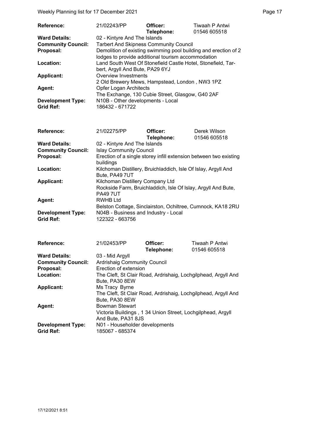Weekly Planning list for 17 December 2021 **Page 17** Neekly Planning list for 17 December 2021

| Reference:                | 21/02243/PP                                                  | Officer:<br>Telephone: | Tiwaah P Antwi<br>01546 605518                                  |
|---------------------------|--------------------------------------------------------------|------------------------|-----------------------------------------------------------------|
| <b>Ward Details:</b>      | 02 - Kintyre And The Islands                                 |                        |                                                                 |
| <b>Community Council:</b> | <b>Tarbert And Skipness Community Council</b>                |                        |                                                                 |
| Proposal:                 |                                                              |                        | Demolition of existing swimming pool building and erection of 2 |
|                           | lodges to provide additional tourism accommodation           |                        |                                                                 |
| Location:                 | Land South West Of Stonefield Castle Hotel, Stonefield, Tar- |                        |                                                                 |
|                           | bert, Argyll And Bute, PA29 6YJ                              |                        |                                                                 |
| <b>Applicant:</b>         | Overview Investments                                         |                        |                                                                 |
|                           | 2 Old Brewery Mews, Hampstead, London, NW3 1PZ               |                        |                                                                 |
| Agent:                    | <b>Opfer Logan Architects</b>                                |                        |                                                                 |
|                           | The Exchange, 130 Cubie Street, Glasgow, G40 2AF             |                        |                                                                 |
| <b>Development Type:</b>  | N10B - Other developments - Local                            |                        |                                                                 |
| <b>Grid Ref:</b>          | 186432 - 671722                                              |                        |                                                                 |

| <b>Reference:</b>         | 21/02275/PP                                                       | Officer:   | Derek Wilson |
|---------------------------|-------------------------------------------------------------------|------------|--------------|
|                           |                                                                   | Telephone: | 01546 605518 |
| <b>Ward Details:</b>      | 02 - Kintyre And The Islands                                      |            |              |
| <b>Community Council:</b> | <b>Islay Community Council</b>                                    |            |              |
| Proposal:                 | Erection of a single storey infill extension between two existing |            |              |
|                           | buildings                                                         |            |              |
| Location:                 | Kilchoman Distillery, Bruichladdich, Isle Of Islay, Argyll And    |            |              |
|                           | Bute, PA49 7UT                                                    |            |              |
| <b>Applicant:</b>         | Kilchoman Distillery Company Ltd                                  |            |              |
|                           | Rockside Farm, Bruichladdich, Isle Of Islay, Argyll And Bute,     |            |              |
|                           | <b>PA49 7UT</b>                                                   |            |              |
| Agent:                    | <b>RWHB Ltd</b>                                                   |            |              |
|                           | Belston Cottage, Sinclairston, Ochiltree, Cumnock, KA18 2RU       |            |              |
| <b>Development Type:</b>  | N04B - Business and Industry - Local                              |            |              |
| <b>Grid Ref:</b>          | 122322 - 663756                                                   |            |              |

| <b>Reference:</b>         | 21/02453/PP                                                    | Officer:                                                    | Tiwaah P Antwi                                                 |
|---------------------------|----------------------------------------------------------------|-------------------------------------------------------------|----------------------------------------------------------------|
|                           |                                                                | Telephone:                                                  | 01546 605518                                                   |
| <b>Ward Details:</b>      | 03 - Mid Argyll                                                |                                                             |                                                                |
| <b>Community Council:</b> | <b>Ardrishaig Community Council</b>                            |                                                             |                                                                |
| Proposal:                 | Erection of extension                                          |                                                             |                                                                |
| Location:                 | The Cleft, St Clair Road, Ardrishaig, Lochgilphead, Argyll And |                                                             |                                                                |
|                           | Bute, PA30 8EW                                                 |                                                             |                                                                |
| <b>Applicant:</b>         | Ms Tracy Byrne                                                 |                                                             |                                                                |
|                           |                                                                |                                                             | The Cleft, St Clair Road, Ardrishaig, Lochgilphead, Argyll And |
|                           | Bute, PA30 8EW                                                 |                                                             |                                                                |
| Agent:                    | <b>Bowman Stewart</b>                                          |                                                             |                                                                |
|                           |                                                                | Victoria Buildings, 1 34 Union Street, Lochgilphead, Argyll |                                                                |
|                           | And Bute, PA31 8JS                                             |                                                             |                                                                |
| <b>Development Type:</b>  | N01 - Householder developments                                 |                                                             |                                                                |
| <b>Grid Ref:</b>          | 185067 - 685374                                                |                                                             |                                                                |

17/12/2021 8:51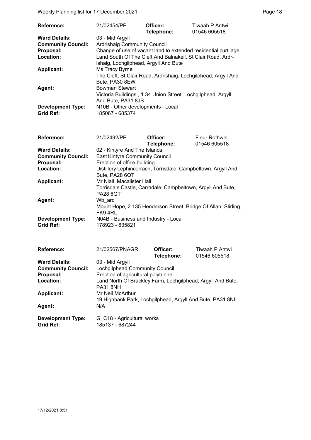Weekly Planning list for 17 December 2021 **Page 18** Page 18

| <b>Reference:</b>         | 21/02454/PP                                                                      | Officer:<br>Telephone:                                      | Tiwaah P Antwi<br>01546 605518 |  |
|---------------------------|----------------------------------------------------------------------------------|-------------------------------------------------------------|--------------------------------|--|
| <b>Ward Details:</b>      | 03 - Mid Argyll                                                                  |                                                             |                                |  |
| <b>Community Council:</b> | <b>Ardrishaig Community Council</b>                                              |                                                             |                                |  |
| Proposal:                 | Change of use of vacant land to extended residential curtilage                   |                                                             |                                |  |
| Location:                 | Land South Of The Cleft And Balnakeil, St Clair Road, Ardr-                      |                                                             |                                |  |
|                           | ishaig, Lochgilphead, Argyll And Bute                                            |                                                             |                                |  |
| <b>Applicant:</b>         | Ms Tracy Byrne<br>The Cleft, St Clair Road, Ardrishaig, Lochgilphead, Argyll And |                                                             |                                |  |
|                           |                                                                                  |                                                             |                                |  |
|                           | Bute, PA30 8EW                                                                   |                                                             |                                |  |
| Agent:                    | <b>Bowman Stewart</b>                                                            |                                                             |                                |  |
|                           |                                                                                  | Victoria Buildings, 1 34 Union Street, Lochgilphead, Argyll |                                |  |
|                           | And Bute, PA31 8JS                                                               |                                                             |                                |  |
| <b>Development Type:</b>  | N10B - Other developments - Local                                                |                                                             |                                |  |
| <b>Grid Ref:</b>          | 185067 - 685374                                                                  |                                                             |                                |  |

| <b>Reference:</b>         | 21/02492/PP                                                                     | Officer:   | <b>Fleur Rothwell</b> |  |
|---------------------------|---------------------------------------------------------------------------------|------------|-----------------------|--|
|                           |                                                                                 | Telephone: | 01546 605518          |  |
| <b>Ward Details:</b>      | 02 - Kintyre And The Islands                                                    |            |                       |  |
| <b>Community Council:</b> | <b>East Kintyre Community Council</b>                                           |            |                       |  |
| Proposal:                 | Erection of office building                                                     |            |                       |  |
| Location:                 | Distillery Lephincorrach, Torrisdale, Campbeltown, Argyll And<br>Bute, PA28 6QT |            |                       |  |
|                           |                                                                                 |            |                       |  |
| <b>Applicant:</b>         | Mr Niall Macalister Hall                                                        |            |                       |  |
|                           | Torrisdale Castle, Carradale, Campbeltown, Argyll And Bute,                     |            |                       |  |
|                           | <b>PA28 6QT</b>                                                                 |            |                       |  |
| Agent:                    | Wb arc                                                                          |            |                       |  |
|                           | Mount Hope, 2 135 Henderson Street, Bridge Of Allan, Stirling,                  |            |                       |  |
|                           | FK94RL                                                                          |            |                       |  |
| <b>Development Type:</b>  | N04B - Business and Industry - Local                                            |            |                       |  |
| <b>Grid Ref:</b>          | 178923 - 635821                                                                 |            |                       |  |

| <b>Reference:</b>         | 21/02567/PNAGRI                                                                | Officer:   | Tiwaah P Antwi |  |
|---------------------------|--------------------------------------------------------------------------------|------------|----------------|--|
|                           |                                                                                | Telephone: | 01546 605518   |  |
| <b>Ward Details:</b>      | 03 - Mid Argyll                                                                |            |                |  |
| <b>Community Council:</b> | Lochgilphead Community Council                                                 |            |                |  |
| Proposal:                 | Erection of agricultural polytunnel                                            |            |                |  |
| Location:                 | Land North Of Brackley Farm, Lochgilphead, Argyll And Bute,<br><b>PA31 8NH</b> |            |                |  |
| <b>Applicant:</b>         | Mr Neil McArthur<br>19 Highbank Park, Lochgilphead, Argyll And Bute, PA31 8NL  |            |                |  |
| Agent:                    | N/A                                                                            |            |                |  |
| <b>Development Type:</b>  | G C18 - Agricultural works                                                     |            |                |  |
| <b>Grid Ref:</b>          | 185137 - 687244                                                                |            |                |  |